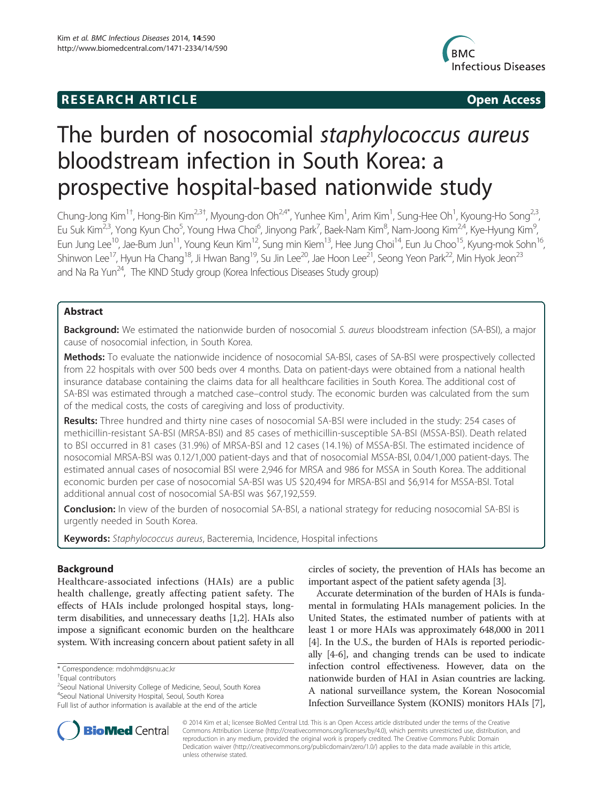# **RESEARCH ARTICLE Example 2014 12:30 The SEAR CHA RESEARCH ARTICLE**



# The burden of nosocomial staphylococcus aureus bloodstream infection in South Korea: a prospective hospital-based nationwide study

Chung-Jong Kim<sup>1†</sup>, Hong-Bin Kim<sup>2,3†</sup>, Myoung-don Oh<sup>2,4\*</sup>, Yunhee Kim<sup>1</sup>, Arim Kim<sup>1</sup>, Sung-Hee Oh<sup>1</sup>, Kyoung-Ho Song<sup>2,3</sup>, Eu Suk Kim<sup>2,3</sup>, Yong Kyun Cho<sup>5</sup>, Young Hwa Choi<sup>6</sup>, Jinyong Park<sup>7</sup>, Baek-Nam Kim<sup>8</sup>, Nam-Joong Kim<sup>2,4</sup>, Kye-Hyung Kim<sup>s</sup> , Eun Jung Lee<sup>10</sup>, Jae-Bum Jun<sup>11</sup>, Young Keun Kim<sup>12</sup>, Sung min Kiem<sup>13</sup>, Hee Jung Choi<sup>14</sup>, Eun Ju Choo<sup>15</sup>, Kyung-mok Sohn<sup>16</sup>, Shinwon Lee<sup>17</sup>, Hyun Ha Chang<sup>18</sup>, Ji Hwan Bang<sup>19</sup>, Su Jin Lee<sup>20</sup>, Jae Hoon Lee<sup>21</sup>, Seong Yeon Park<sup>22</sup>, Min Hyok Jeon<sup>23</sup> and Na Ra Yun<sup>24</sup>, The KIND Study group (Korea Infectious Diseases Study group)

# Abstract

Background: We estimated the nationwide burden of nosocomial S. aureus bloodstream infection (SA-BSI), a major cause of nosocomial infection, in South Korea.

Methods: To evaluate the nationwide incidence of nosocomial SA-BSI, cases of SA-BSI were prospectively collected from 22 hospitals with over 500 beds over 4 months. Data on patient-days were obtained from a national health insurance database containing the claims data for all healthcare facilities in South Korea. The additional cost of SA-BSI was estimated through a matched case–control study. The economic burden was calculated from the sum of the medical costs, the costs of caregiving and loss of productivity.

Results: Three hundred and thirty nine cases of nosocomial SA-BSI were included in the study: 254 cases of methicillin-resistant SA-BSI (MRSA-BSI) and 85 cases of methicillin-susceptible SA-BSI (MSSA-BSI). Death related to BSI occurred in 81 cases (31.9%) of MRSA-BSI and 12 cases (14.1%) of MSSA-BSI. The estimated incidence of nosocomial MRSA-BSI was 0.12/1,000 patient-days and that of nosocomial MSSA-BSI, 0.04/1,000 patient-days. The estimated annual cases of nosocomial BSI were 2,946 for MRSA and 986 for MSSA in South Korea. The additional economic burden per case of nosocomial SA-BSI was US \$20,494 for MRSA-BSI and \$6,914 for MSSA-BSI. Total additional annual cost of nosocomial SA-BSI was \$67,192,559.

**Conclusion:** In view of the burden of nosocomial SA-BSI, a national strategy for reducing nosocomial SA-BSI is urgently needed in South Korea.

Keywords: Staphylococcus aureus, Bacteremia, Incidence, Hospital infections

# Background

Healthcare-associated infections (HAIs) are a public health challenge, greatly affecting patient safety. The effects of HAIs include prolonged hospital stays, longterm disabilities, and unnecessary deaths [[1,2](#page-7-0)]. HAIs also impose a significant economic burden on the healthcare system. With increasing concern about patient safety in all

\* Correspondence: [mdohmd@snu.ac.kr](mailto:mdohmd@snu.ac.kr) †

<sup>2</sup>Seoul National University College of Medicine, Seoul, South Korea

4 Seoul National University Hospital, Seoul, South Korea

circles of society, the prevention of HAIs has become an important aspect of the patient safety agenda [\[3](#page-7-0)].

Accurate determination of the burden of HAIs is fundamental in formulating HAIs management policies. In the United States, the estimated number of patients with at least 1 or more HAIs was approximately 648,000 in 2011 [[4\]](#page-7-0). In the U.S., the burden of HAIs is reported periodically [\[4](#page-7-0)[-6](#page-8-0)], and changing trends can be used to indicate infection control effectiveness. However, data on the nationwide burden of HAI in Asian countries are lacking. A national surveillance system, the Korean Nosocomial Infection Surveillance System (KONIS) monitors HAIs [[7](#page-8-0)],



© 2014 Kim et al.; licensee BioMed Central Ltd. This is an Open Access article distributed under the terms of the Creative Commons Attribution License [\(http://creativecommons.org/licenses/by/4.0\)](http://creativecommons.org/licenses/by/4.0), which permits unrestricted use, distribution, and reproduction in any medium, provided the original work is properly credited. The Creative Commons Public Domain Dedication waiver [\(http://creativecommons.org/publicdomain/zero/1.0/](http://creativecommons.org/publicdomain/zero/1.0/)) applies to the data made available in this article, unless otherwise stated.

Equal contributors

Full list of author information is available at the end of the article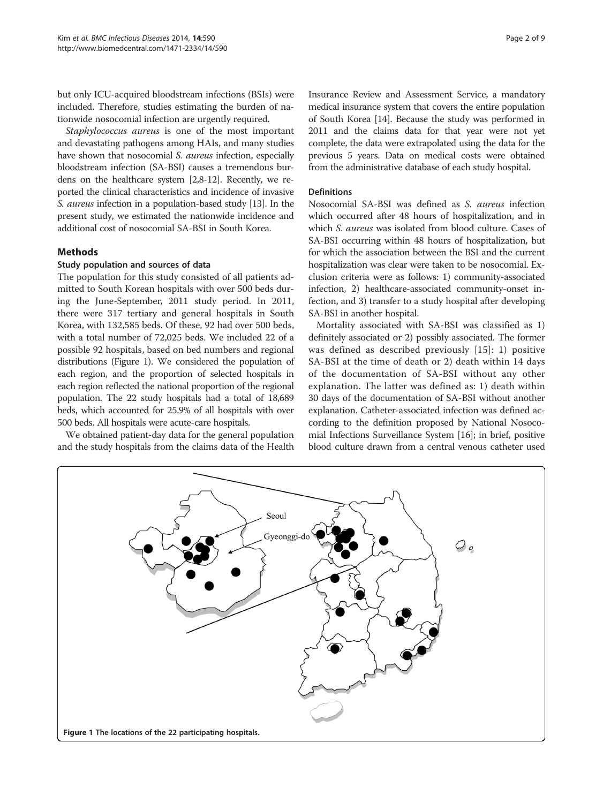but only ICU-acquired bloodstream infections (BSIs) were included. Therefore, studies estimating the burden of nationwide nosocomial infection are urgently required.

Staphylococcus aureus is one of the most important and devastating pathogens among HAIs, and many studies have shown that nosocomial S. *aureus* infection, especially bloodstream infection (SA-BSI) causes a tremendous burdens on the healthcare system [\[2,](#page-7-0)[8-12](#page-8-0)]. Recently, we reported the clinical characteristics and incidence of invasive S. aureus infection in a population-based study [\[13\]](#page-8-0). In the present study, we estimated the nationwide incidence and additional cost of nosocomial SA-BSI in South Korea.

# Methods

# Study population and sources of data

The population for this study consisted of all patients admitted to South Korean hospitals with over 500 beds during the June-September, 2011 study period. In 2011, there were 317 tertiary and general hospitals in South Korea, with 132,585 beds. Of these, 92 had over 500 beds, with a total number of 72,025 beds. We included 22 of a possible 92 hospitals, based on bed numbers and regional distributions (Figure 1). We considered the population of each region, and the proportion of selected hospitals in each region reflected the national proportion of the regional population. The 22 study hospitals had a total of 18,689 beds, which accounted for 25.9% of all hospitals with over 500 beds. All hospitals were acute-care hospitals.

We obtained patient-day data for the general population and the study hospitals from the claims data of the Health Insurance Review and Assessment Service, a mandatory medical insurance system that covers the entire population of South Korea [\[14\]](#page-8-0). Because the study was performed in 2011 and the claims data for that year were not yet complete, the data were extrapolated using the data for the previous 5 years. Data on medical costs were obtained from the administrative database of each study hospital.

#### **Definitions**

Nosocomial SA-BSI was defined as S. aureus infection which occurred after 48 hours of hospitalization, and in which S. aureus was isolated from blood culture. Cases of SA-BSI occurring within 48 hours of hospitalization, but for which the association between the BSI and the current hospitalization was clear were taken to be nosocomial. Exclusion criteria were as follows: 1) community-associated infection, 2) healthcare-associated community-onset infection, and 3) transfer to a study hospital after developing SA-BSI in another hospital.

Mortality associated with SA-BSI was classified as 1) definitely associated or 2) possibly associated. The former was defined as described previously [[15](#page-8-0)]: 1) positive SA-BSI at the time of death or 2) death within 14 days of the documentation of SA-BSI without any other explanation. The latter was defined as: 1) death within 30 days of the documentation of SA-BSI without another explanation. Catheter-associated infection was defined according to the definition proposed by National Nosocomial Infections Surveillance System [\[16\]](#page-8-0); in brief, positive blood culture drawn from a central venous catheter used

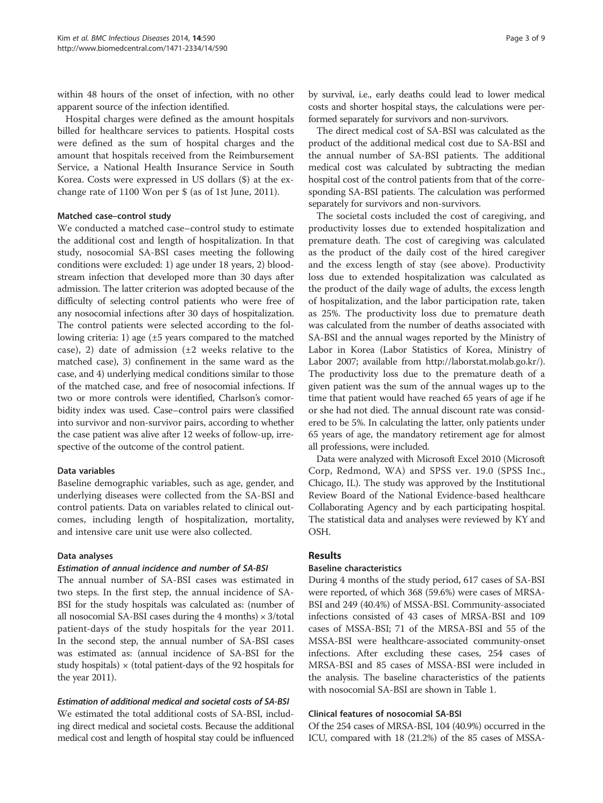within 48 hours of the onset of infection, with no other apparent source of the infection identified.

Hospital charges were defined as the amount hospitals billed for healthcare services to patients. Hospital costs were defined as the sum of hospital charges and the amount that hospitals received from the Reimbursement Service, a National Health Insurance Service in South Korea. Costs were expressed in US dollars (\$) at the exchange rate of 1100 Won per \$ (as of 1st June, 2011).

#### Matched case–control study

We conducted a matched case–control study to estimate the additional cost and length of hospitalization. In that study, nosocomial SA-BSI cases meeting the following conditions were excluded: 1) age under 18 years, 2) bloodstream infection that developed more than 30 days after admission. The latter criterion was adopted because of the difficulty of selecting control patients who were free of any nosocomial infections after 30 days of hospitalization. The control patients were selected according to the following criteria: 1) age (±5 years compared to the matched case), 2) date of admission  $(\pm 2$  weeks relative to the matched case), 3) confinement in the same ward as the case, and 4) underlying medical conditions similar to those of the matched case, and free of nosocomial infections. If two or more controls were identified, Charlson's comorbidity index was used. Case–control pairs were classified into survivor and non-survivor pairs, according to whether the case patient was alive after 12 weeks of follow-up, irrespective of the outcome of the control patient.

# Data variables

Baseline demographic variables, such as age, gender, and underlying diseases were collected from the SA-BSI and control patients. Data on variables related to clinical outcomes, including length of hospitalization, mortality, and intensive care unit use were also collected.

#### Data analyses

# Estimation of annual incidence and number of SA-BSI

The annual number of SA-BSI cases was estimated in two steps. In the first step, the annual incidence of SA-BSI for the study hospitals was calculated as: (number of all nosocomial SA-BSI cases during the  $4$  months)  $\times$  3/total patient-days of the study hospitals for the year 2011. In the second step, the annual number of SA-BSI cases was estimated as: (annual incidence of SA-BSI for the study hospitals)  $\times$  (total patient-days of the 92 hospitals for the year 2011).

# Estimation of additional medical and societal costs of SA-BSI

We estimated the total additional costs of SA-BSI, including direct medical and societal costs. Because the additional medical cost and length of hospital stay could be influenced

by survival, i.e., early deaths could lead to lower medical costs and shorter hospital stays, the calculations were performed separately for survivors and non-survivors.

The direct medical cost of SA-BSI was calculated as the product of the additional medical cost due to SA-BSI and the annual number of SA-BSI patients. The additional medical cost was calculated by subtracting the median hospital cost of the control patients from that of the corresponding SA-BSI patients. The calculation was performed separately for survivors and non-survivors.

The societal costs included the cost of caregiving, and productivity losses due to extended hospitalization and premature death. The cost of caregiving was calculated as the product of the daily cost of the hired caregiver and the excess length of stay (see above). Productivity loss due to extended hospitalization was calculated as the product of the daily wage of adults, the excess length of hospitalization, and the labor participation rate, taken as 25%. The productivity loss due to premature death was calculated from the number of deaths associated with SA-BSI and the annual wages reported by the Ministry of Labor in Korea (Labor Statistics of Korea, Ministry of Labor 2007; available from<http://laborstat.molab.go.kr/>). The productivity loss due to the premature death of a given patient was the sum of the annual wages up to the time that patient would have reached 65 years of age if he or she had not died. The annual discount rate was considered to be 5%. In calculating the latter, only patients under 65 years of age, the mandatory retirement age for almost all professions, were included.

Data were analyzed with Microsoft Excel 2010 (Microsoft Corp, Redmond, WA) and SPSS ver. 19.0 (SPSS Inc., Chicago, IL). The study was approved by the Institutional Review Board of the National Evidence-based healthcare Collaborating Agency and by each participating hospital. The statistical data and analyses were reviewed by KY and OSH.

# Results

#### Baseline characteristics

During 4 months of the study period, 617 cases of SA-BSI were reported, of which 368 (59.6%) were cases of MRSA-BSI and 249 (40.4%) of MSSA-BSI. Community-associated infections consisted of 43 cases of MRSA-BSI and 109 cases of MSSA-BSI; 71 of the MRSA-BSI and 55 of the MSSA-BSI were healthcare-associated community-onset infections. After excluding these cases, 254 cases of MRSA-BSI and 85 cases of MSSA-BSI were included in the analysis. The baseline characteristics of the patients with nosocomial SA-BSI are shown in Table [1](#page-3-0).

#### Clinical features of nosocomial SA-BSI

Of the 254 cases of MRSA-BSI, 104 (40.9%) occurred in the ICU, compared with 18 (21.2%) of the 85 cases of MSSA-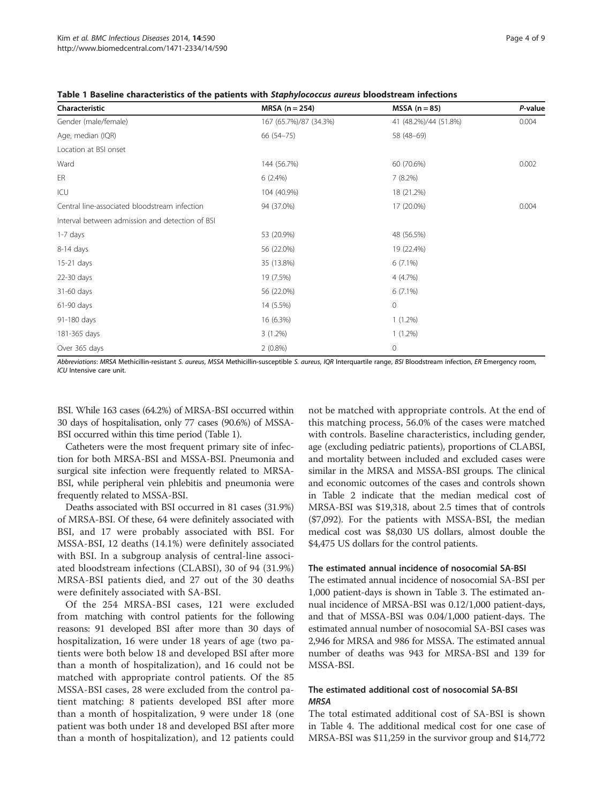| Characteristic                                  | $MRSA (n = 254)$       | $MSSA (n = 85)$       | P-value |
|-------------------------------------------------|------------------------|-----------------------|---------|
| Gender (male/female)                            | 167 (65.7%)/87 (34.3%) | 41 (48.2%)/44 (51.8%) | 0.004   |
| Age, median (IQR)                               | $66(54 - 75)$          | 58 (48-69)            |         |
| Location at BSI onset                           |                        |                       |         |
| Ward                                            | 144 (56.7%)            | 60 (70.6%)            | 0.002   |
| ER                                              | $6(2.4\%)$             | $7(8.2\%)$            |         |
| ICU                                             | 104 (40.9%)            | 18 (21.2%)            |         |
| Central line-associated bloodstream infection   | 94 (37.0%)             | 17 (20.0%)            | 0.004   |
| Interval between admission and detection of BSI |                        |                       |         |
| 1-7 days                                        | 53 (20.9%)             | 48 (56.5%)            |         |
| 8-14 days                                       | 56 (22.0%)             | 19 (22.4%)            |         |
| $15-21$ days                                    | 35 (13.8%)             | $6(7.1\%)$            |         |
| 22-30 days                                      | 19 (7.5%)              | 4 (4.7%)              |         |
| 31-60 days                                      | 56 (22.0%)             | $6(7.1\%)$            |         |
| 61-90 days                                      | 14 (5.5%)              | 0                     |         |
| 91-180 days                                     | 16 (6.3%)              | $1(1.2\%)$            |         |
| 181-365 days                                    | $3(1.2\%)$             | $1(1.2\%)$            |         |
| Over 365 days                                   | $2(0.8\%)$             | 0                     |         |

<span id="page-3-0"></span>Table 1 Baseline characteristics of the patients with Staphylococcus aureus bloodstream infections

Abbreviations: MRSA Methicillin-resistant S. aureus, MSSA Methicillin-susceptible S. aureus, IQR Interquartile range, BSI Bloodstream infection, ER Emergency room, ICU Intensive care unit.

BSI. While 163 cases (64.2%) of MRSA-BSI occurred within 30 days of hospitalisation, only 77 cases (90.6%) of MSSA-BSI occurred within this time period (Table 1).

Catheters were the most frequent primary site of infection for both MRSA-BSI and MSSA-BSI. Pneumonia and surgical site infection were frequently related to MRSA-BSI, while peripheral vein phlebitis and pneumonia were frequently related to MSSA-BSI.

Deaths associated with BSI occurred in 81 cases (31.9%) of MRSA-BSI. Of these, 64 were definitely associated with BSI, and 17 were probably associated with BSI. For MSSA-BSI, 12 deaths (14.1%) were definitely associated with BSI. In a subgroup analysis of central-line associated bloodstream infections (CLABSI), 30 of 94 (31.9%) MRSA-BSI patients died, and 27 out of the 30 deaths were definitely associated with SA-BSI.

Of the 254 MRSA-BSI cases, 121 were excluded from matching with control patients for the following reasons: 91 developed BSI after more than 30 days of hospitalization, 16 were under 18 years of age (two patients were both below 18 and developed BSI after more than a month of hospitalization), and 16 could not be matched with appropriate control patients. Of the 85 MSSA-BSI cases, 28 were excluded from the control patient matching: 8 patients developed BSI after more than a month of hospitalization, 9 were under 18 (one patient was both under 18 and developed BSI after more than a month of hospitalization), and 12 patients could

not be matched with appropriate controls. At the end of this matching process, 56.0% of the cases were matched with controls. Baseline characteristics, including gender, age (excluding pediatric patients), proportions of CLABSI, and mortality between included and excluded cases were similar in the MRSA and MSSA-BSI groups. The clinical and economic outcomes of the cases and controls shown in Table [2](#page-4-0) indicate that the median medical cost of MRSA-BSI was \$19,318, about 2.5 times that of controls (\$7,092). For the patients with MSSA-BSI, the median medical cost was \$8,030 US dollars, almost double the \$4,475 US dollars for the control patients.

#### The estimated annual incidence of nosocomial SA-BSI

The estimated annual incidence of nosocomial SA-BSI per 1,000 patient-days is shown in Table [3.](#page-5-0) The estimated annual incidence of MRSA-BSI was 0.12/1,000 patient-days, and that of MSSA-BSI was 0.04/1,000 patient-days. The estimated annual number of nosocomial SA-BSI cases was 2,946 for MRSA and 986 for MSSA. The estimated annual number of deaths was 943 for MRSA-BSI and 139 for MSSA-BSI.

# The estimated additional cost of nosocomial SA-BSI **MRSA**

The total estimated additional cost of SA-BSI is shown in Table [4.](#page-6-0) The additional medical cost for one case of MRSA-BSI was \$11,259 in the survivor group and \$14,772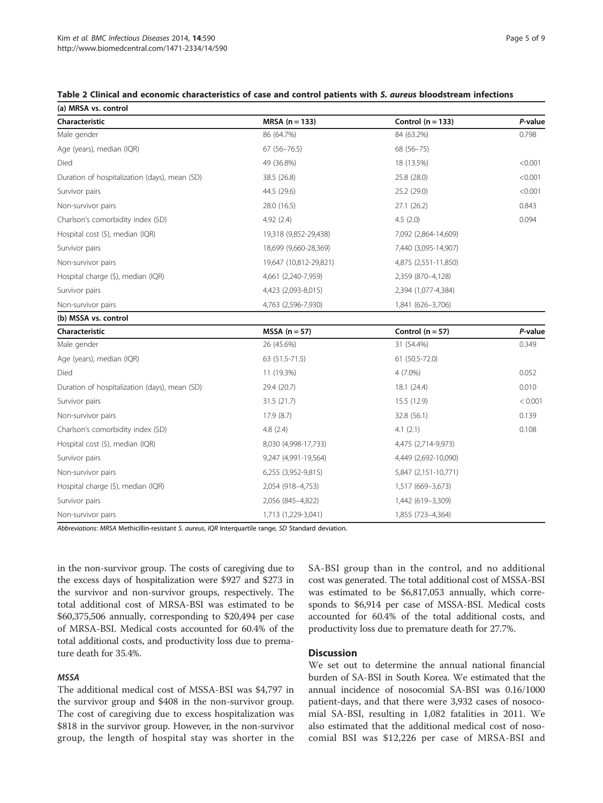<span id="page-4-0"></span>

| Table 2 Clinical and economic characteristics of case and control patients with S, <i>aureus</i> bloodstream infections |
|-------------------------------------------------------------------------------------------------------------------------|
|-------------------------------------------------------------------------------------------------------------------------|

| (a) MRSA vs. control                          |                        |                      |         |  |  |  |  |  |
|-----------------------------------------------|------------------------|----------------------|---------|--|--|--|--|--|
| Characteristic                                | $MRSA (n = 133)$       | Control $(n = 133)$  | P-value |  |  |  |  |  |
| Male gender                                   | 86 (64.7%)             | 84 (63.2%)           | 0.798   |  |  |  |  |  |
| Age (years), median (IQR)                     | $67(56 - 76.5)$        | 68 (56-75)           |         |  |  |  |  |  |
| Died                                          | 49 (36.8%)             | 18 (13.5%)           | < 0.001 |  |  |  |  |  |
| Duration of hospitalization (days), mean (SD) | 38.5 (26.8)            | 25.8 (28.0)          | < 0.001 |  |  |  |  |  |
| Survivor pairs                                | 44.5 (29.6)            | 25.2 (29.0)          | < 0.001 |  |  |  |  |  |
| Non-survivor pairs                            | 28.0 (16.5)            | 27.1 (26.2)          | 0.843   |  |  |  |  |  |
| Charlson's comorbidity index (SD)             | 4.92(2.4)              | 4.5(2.0)             | 0.094   |  |  |  |  |  |
| Hospital cost (\$), median (IQR)              | 19,318 (9,852-29,438)  | 7,092 (2,864-14,609) |         |  |  |  |  |  |
| Survivor pairs                                | 18,699 (9,660-28,369)  | 7,440 (3,095-14,907) |         |  |  |  |  |  |
| Non-survivor pairs                            | 19,647 (10,812-29,821) | 4,875 (2,551-11,850) |         |  |  |  |  |  |
| Hospital charge (\$), median (IQR)            | 4,661 (2,240-7,959)    | 2,359 (870-4,128)    |         |  |  |  |  |  |
| Survivor pairs                                | 4,423 (2,093-8,015)    | 2,394 (1,077-4,384)  |         |  |  |  |  |  |
| Non-survivor pairs                            | 4,763 (2,596-7,930)    | 1,841 (626-3,706)    |         |  |  |  |  |  |
| (b) MSSA vs. control                          |                        |                      |         |  |  |  |  |  |
| Characteristic                                | $MSSA (n = 57)$        | Control $(n = 57)$   | P-value |  |  |  |  |  |
| Male gender                                   | 26 (45.6%)             | 31 (54.4%)           | 0.349   |  |  |  |  |  |
| Age (years), median (IQR)                     | 63 (51.5-71.5)         | 61 (50.5-72.0)       |         |  |  |  |  |  |
| Died                                          | 11 (19.3%)             | $4(7.0\%)$           | 0.052   |  |  |  |  |  |
| Duration of hospitalization (days), mean (SD) | 29.4 (20.7)            | 18.1 (24.4)          | 0.010   |  |  |  |  |  |
| Survivor pairs                                | 31.5(21.7)             | 15.5 (12.9)          | < 0.001 |  |  |  |  |  |
| Non-survivor pairs                            | 17.9 (8.7)             | 32.8 (56.1)          | 0.139   |  |  |  |  |  |
| Charlson's comorbidity index (SD)             | 4.8(2.4)               | 4.1(2.1)             | 0.108   |  |  |  |  |  |
| Hospital cost (\$), median (IQR)              | 8,030 (4,998-17,733)   | 4,475 (2,714-9,973)  |         |  |  |  |  |  |
| Survivor pairs                                | 9,247 (4,991-19,564)   | 4,449 (2,692-10,090) |         |  |  |  |  |  |
| Non-survivor pairs                            | 6,255 (3,952-9,815)    | 5,847 (2,151-10,771) |         |  |  |  |  |  |
| Hospital charge (\$), median (IQR)            | 2,054 (918-4,753)      | 1,517 (669-3,673)    |         |  |  |  |  |  |
| Survivor pairs                                | 2,056 (845-4,822)      | 1,442 (619-3,309)    |         |  |  |  |  |  |
| Non-survivor pairs                            | 1,713 (1,229-3,041)    | 1,855 (723-4,364)    |         |  |  |  |  |  |

Abbreviations: MRSA Methicillin-resistant S. aureus, IQR Interquartile range, SD Standard deviation.

in the non-survivor group. The costs of caregiving due to the excess days of hospitalization were \$927 and \$273 in the survivor and non-survivor groups, respectively. The total additional cost of MRSA-BSI was estimated to be \$60,375,506 annually, corresponding to \$20,494 per case of MRSA-BSI. Medical costs accounted for 60.4% of the total additional costs, and productivity loss due to premature death for 35.4%.

#### MSSA

The additional medical cost of MSSA-BSI was \$4,797 in the survivor group and \$408 in the non-survivor group. The cost of caregiving due to excess hospitalization was \$818 in the survivor group. However, in the non-survivor group, the length of hospital stay was shorter in the SA-BSI group than in the control, and no additional cost was generated. The total additional cost of MSSA-BSI was estimated to be \$6,817,053 annually, which corresponds to \$6,914 per case of MSSA-BSI. Medical costs accounted for 60.4% of the total additional costs, and productivity loss due to premature death for 27.7%.

# **Discussion**

We set out to determine the annual national financial burden of SA-BSI in South Korea. We estimated that the annual incidence of nosocomial SA-BSI was 0.16/1000 patient-days, and that there were 3,932 cases of nosocomial SA-BSI, resulting in 1,082 fatalities in 2011. We also estimated that the additional medical cost of nosocomial BSI was \$12,226 per case of MRSA-BSI and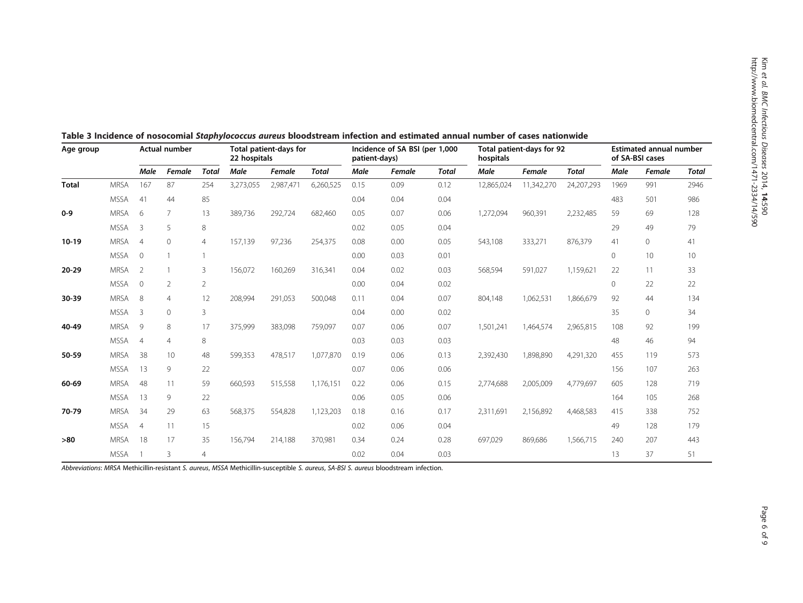| Age group    |             | <b>Actual number</b> |                |                | Total patient-days for<br>22 hospitals |           | Incidence of SA BSI (per 1,000<br>patient-days) |      | Total patient-days for 92<br>hospitals |              | <b>Estimated annual number</b><br>of SA-BSI cases |               |              |             |         |              |
|--------------|-------------|----------------------|----------------|----------------|----------------------------------------|-----------|-------------------------------------------------|------|----------------------------------------|--------------|---------------------------------------------------|---------------|--------------|-------------|---------|--------------|
|              |             | <b>Male</b>          | Female         | <b>Total</b>   | Male                                   | Female    | <b>Total</b>                                    | Male | Female                                 | <b>Total</b> | Male                                              | <b>Female</b> | <b>Total</b> | Male        | Female  | <b>Total</b> |
| <b>Total</b> | <b>MRSA</b> | 167                  | 87             | 254            | 3,273,055                              | 2,987,471 | 6,260,525                                       | 0.15 | 0.09                                   | 0.12         | 12,865,024                                        | 11,342,270    | 24,207,293   | 1969        | 991     | 2946         |
|              | <b>MSSA</b> | 41                   | 44             | 85             |                                        |           |                                                 | 0.04 | 0.04                                   | 0.04         |                                                   |               |              | 483         | 501     | 986          |
| $0 - 9$      | <b>MRSA</b> | 6                    | 7              | 13             | 389,736                                | 292,724   | 682,460                                         | 0.05 | 0.07                                   | 0.06         | 1,272,094                                         | 960,391       | 2,232,485    | 59          | 69      | 128          |
|              | <b>MSSA</b> | 3                    | 5              | 8              |                                        |           |                                                 | 0.02 | 0.05                                   | 0.04         |                                                   |               |              | 29          | 49      | 79           |
| $10-19$      | <b>MRSA</b> | $\overline{4}$       | $\circ$        | $\overline{4}$ | 157,139                                | 97,236    | 254,375                                         | 0.08 | 0.00                                   | 0.05         | 543,108                                           | 333,271       | 876,379      | 41          | $\circ$ | 41           |
|              | <b>MSSA</b> | $\mathbf{0}$         |                |                |                                        |           |                                                 | 0.00 | 0.03                                   | 0.01         |                                                   |               |              | $\mathbf 0$ | 10      | 10           |
| $20 - 29$    | <b>MRSA</b> | $\overline{2}$       |                | 3              | 156,072                                | 160,269   | 316,341                                         | 0.04 | 0.02                                   | 0.03         | 568,594                                           | 591,027       | 1,159,621    | 22          | 11      | 33           |
|              | <b>MSSA</b> | $\Omega$             | $\overline{2}$ | $\overline{2}$ |                                        |           |                                                 | 0.00 | 0.04                                   | 0.02         |                                                   |               |              | $\Omega$    | 22      | 22           |
| 30-39        | <b>MRSA</b> | 8                    | $\overline{4}$ | 12             | 208,994                                | 291,053   | 500,048                                         | 0.11 | 0.04                                   | 0.07         | 804,148                                           | 1,062,531     | 1,866,679    | 92          | 44      | 134          |
|              | <b>MSSA</b> | 3                    | $\mathbf{0}$   | 3              |                                        |           |                                                 | 0.04 | 0.00                                   | 0.02         |                                                   |               |              | 35          | $\circ$ | 34           |
| 40-49        | <b>MRSA</b> | 9                    | 8              | 17             | 375,999                                | 383,098   | 759,097                                         | 0.07 | 0.06                                   | 0.07         | 1,501,241                                         | 1,464,574     | 2,965,815    | 108         | 92      | 199          |
|              | <b>MSSA</b> | $\overline{4}$       | $\overline{4}$ | 8              |                                        |           |                                                 | 0.03 | 0.03                                   | 0.03         |                                                   |               |              | 48          | 46      | 94           |
| 50-59        | <b>MRSA</b> | 38                   | 10             | 48             | 599,353                                | 478,517   | 1,077,870                                       | 0.19 | 0.06                                   | 0.13         | 2,392,430                                         | 1,898,890     | 4,291,320    | 455         | 119     | 573          |
|              | <b>MSSA</b> | 13                   | 9              | 22             |                                        |           |                                                 | 0.07 | 0.06                                   | 0.06         |                                                   |               |              | 156         | 107     | 263          |
| 60-69        | <b>MRSA</b> | 48                   | 11             | 59             | 660,593                                | 515,558   | 1,176,151                                       | 0.22 | 0.06                                   | 0.15         | 2,774,688                                         | 2,005,009     | 4,779,697    | 605         | 128     | 719          |
|              | <b>MSSA</b> | 13                   | 9              | 22             |                                        |           |                                                 | 0.06 | 0.05                                   | 0.06         |                                                   |               |              | 164         | 105     | 268          |
| 70-79        | <b>MRSA</b> | 34                   | 29             | 63             | 568,375                                | 554,828   | 1,123,203                                       | 0.18 | 0.16                                   | 0.17         | 2,311,691                                         | 2,156,892     | 4,468,583    | 415         | 338     | 752          |
|              | <b>MSSA</b> | 4                    | 11             | 15             |                                        |           |                                                 | 0.02 | 0.06                                   | 0.04         |                                                   |               |              | 49          | 128     | 179          |
| $>80$        | <b>MRSA</b> | 18                   | 17             | 35             | 156,794                                | 214,188   | 370,981                                         | 0.34 | 0.24                                   | 0.28         | 697,029                                           | 869,686       | 1,566,715    | 240         | 207     | 443          |
|              | <b>MSSA</b> |                      | 3              | $\overline{4}$ |                                        |           |                                                 | 0.02 | 0.04                                   | 0.03         |                                                   |               |              | 13          | 37      | 51           |

<span id="page-5-0"></span>Table 3 Incidence of nosocomial Staphylococcus aureus bloodstream infection and estimated annual number of cases nationwide

Abbreviations: MRSA Methicillin-resistant S. aureus, MSSA Methicillin-susceptible S. aureus, SA-BSI S. aureus bloodstream infection.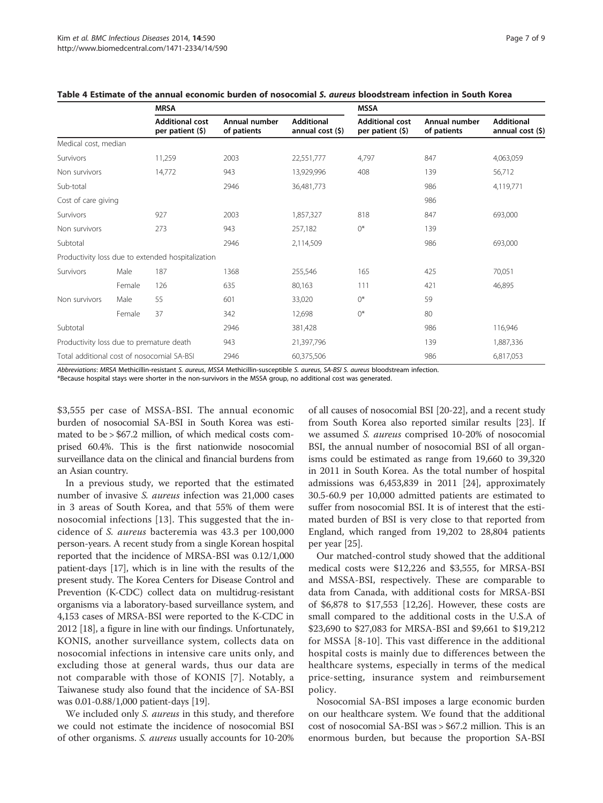|                                            |        | <b>MRSA</b>                                       |                              |                                       | <b>MSSA</b>                                |                              |                                       |  |  |
|--------------------------------------------|--------|---------------------------------------------------|------------------------------|---------------------------------------|--------------------------------------------|------------------------------|---------------------------------------|--|--|
|                                            |        | <b>Additional cost</b><br>per patient (\$)        | Annual number<br>of patients | <b>Additional</b><br>annual cost (\$) | <b>Additional cost</b><br>per patient (\$) | Annual number<br>of patients | <b>Additional</b><br>annual $cost(5)$ |  |  |
| Medical cost, median                       |        |                                                   |                              |                                       |                                            |                              |                                       |  |  |
| Survivors                                  |        | 11,259                                            | 2003                         | 22,551,777                            | 4,797                                      | 847                          | 4,063,059                             |  |  |
| Non survivors                              |        | 14,772                                            | 943                          | 13,929,996                            | 408                                        | 139                          | 56,712                                |  |  |
| Sub-total                                  |        |                                                   | 2946                         | 36,481,773                            |                                            | 986                          | 4,119,771                             |  |  |
| Cost of care giving                        |        |                                                   |                              |                                       |                                            | 986                          |                                       |  |  |
| Survivors                                  |        | 927                                               | 2003                         | 1,857,327                             | 818                                        | 847                          | 693,000                               |  |  |
| Non survivors                              |        | 273                                               | 943                          | 257,182                               | $0^*$                                      | 139                          |                                       |  |  |
| Subtotal                                   |        |                                                   | 2946                         | 2,114,509                             |                                            | 986                          | 693,000                               |  |  |
|                                            |        | Productivity loss due to extended hospitalization |                              |                                       |                                            |                              |                                       |  |  |
| Survivors                                  | Male   | 187                                               | 1368                         | 255,546                               | 165                                        | 425                          | 70,051                                |  |  |
|                                            | Female | 126                                               | 635                          | 80,163                                | 111                                        | 421                          | 46,895                                |  |  |
| Non survivors                              | Male   | 55                                                | 601                          | 33,020                                | $()^*$                                     | 59                           |                                       |  |  |
|                                            | Female | 37                                                | 342                          | 12,698                                | $0^*$                                      | 80                           |                                       |  |  |
| Subtotal                                   |        |                                                   | 2946                         | 381,428                               |                                            | 986                          | 116,946                               |  |  |
| Productivity loss due to premature death   |        |                                                   | 943                          | 21,397,796                            |                                            | 139                          | 1,887,336                             |  |  |
| Total additional cost of nosocomial SA-BSI |        |                                                   | 2946                         | 60,375,506                            |                                            | 986                          | 6,817,053                             |  |  |

# <span id="page-6-0"></span>Table 4 Estimate of the annual economic burden of nosocomial S. aureus bloodstream infection in South Korea

Abbreviations: MRSA Methicillin-resistant S. aureus, MSSA Methicillin-susceptible S. aureus, SA-BSI S. aureus bloodstream infection.

\*Because hospital stays were shorter in the non-survivors in the MSSA group, no additional cost was generated.

\$3,555 per case of MSSA-BSI. The annual economic burden of nosocomial SA-BSI in South Korea was estimated to be > \$67.2 million, of which medical costs comprised 60.4%. This is the first nationwide nosocomial surveillance data on the clinical and financial burdens from an Asian country.

In a previous study, we reported that the estimated number of invasive S. aureus infection was 21,000 cases in 3 areas of South Korea, and that 55% of them were nosocomial infections [[13\]](#page-8-0). This suggested that the incidence of S. aureus bacteremia was 43.3 per 100,000 person-years. A recent study from a single Korean hospital reported that the incidence of MRSA-BSI was 0.12/1,000 patient-days [\[17\]](#page-8-0), which is in line with the results of the present study. The Korea Centers for Disease Control and Prevention (K-CDC) collect data on multidrug-resistant organisms via a laboratory-based surveillance system, and 4,153 cases of MRSA-BSI were reported to the K-CDC in 2012 [[18](#page-8-0)], a figure in line with our findings. Unfortunately, KONIS, another surveillance system, collects data on nosocomial infections in intensive care units only, and excluding those at general wards, thus our data are not comparable with those of KONIS [[7\]](#page-8-0). Notably, a Taiwanese study also found that the incidence of SA-BSI was 0.01-0.88/1,000 patient-days [\[19\]](#page-8-0).

We included only *S. aureus* in this study, and therefore we could not estimate the incidence of nosocomial BSI of other organisms. S. aureus usually accounts for 10-20%

of all causes of nosocomial BSI [\[20-22\]](#page-8-0), and a recent study from South Korea also reported similar results [[23\]](#page-8-0). If we assumed S. aureus comprised 10-20% of nosocomial BSI, the annual number of nosocomial BSI of all organisms could be estimated as range from 19,660 to 39,320 in 2011 in South Korea. As the total number of hospital admissions was 6,453,839 in 2011 [\[24](#page-8-0)], approximately 30.5-60.9 per 10,000 admitted patients are estimated to suffer from nosocomial BSI. It is of interest that the estimated burden of BSI is very close to that reported from England, which ranged from 19,202 to 28,804 patients per year [\[25](#page-8-0)].

Our matched-control study showed that the additional medical costs were \$12,226 and \$3,555, for MRSA-BSI and MSSA-BSI, respectively. These are comparable to data from Canada, with additional costs for MRSA-BSI of \$6,878 to \$17,553 [[12,26\]](#page-8-0). However, these costs are small compared to the additional costs in the U.S.A of \$23,690 to \$27,083 for MRSA-BSI and \$9,661 to \$19,212 for MSSA [\[8-10](#page-8-0)]. This vast difference in the additional hospital costs is mainly due to differences between the healthcare systems, especially in terms of the medical price-setting, insurance system and reimbursement policy.

Nosocomial SA-BSI imposes a large economic burden on our healthcare system. We found that the additional cost of nosocomial SA-BSI was > \$67.2 million. This is an enormous burden, but because the proportion SA-BSI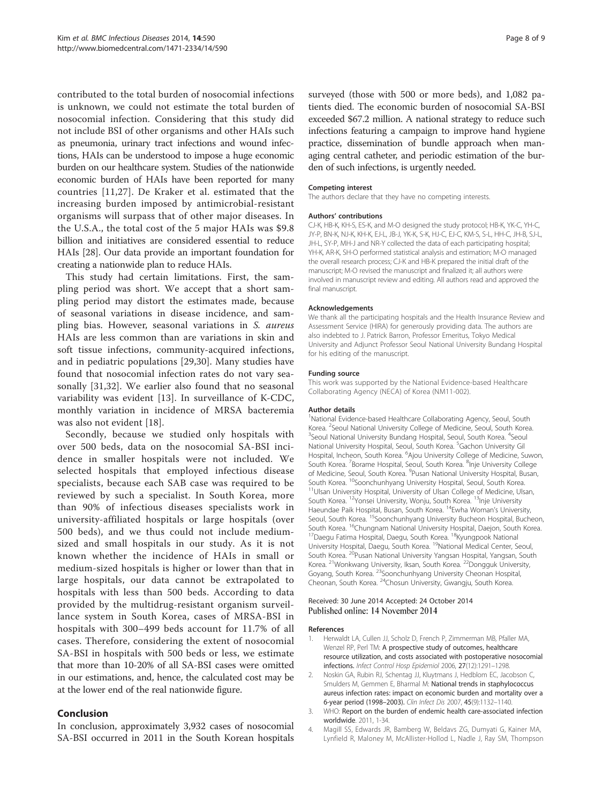<span id="page-7-0"></span>contributed to the total burden of nosocomial infections is unknown, we could not estimate the total burden of nosocomial infection. Considering that this study did not include BSI of other organisms and other HAIs such as pneumonia, urinary tract infections and wound infections, HAIs can be understood to impose a huge economic burden on our healthcare system. Studies of the nationwide economic burden of HAIs have been reported for many countries [[11,27](#page-8-0)]. De Kraker et al. estimated that the increasing burden imposed by antimicrobial-resistant organisms will surpass that of other major diseases. In the U.S.A., the total cost of the 5 major HAIs was \$9.8 billion and initiatives are considered essential to reduce HAIs [\[28](#page-8-0)]. Our data provide an important foundation for creating a nationwide plan to reduce HAIs.

This study had certain limitations. First, the sampling period was short. We accept that a short sampling period may distort the estimates made, because of seasonal variations in disease incidence, and sampling bias. However, seasonal variations in S. aureus HAIs are less common than are variations in skin and soft tissue infections, community-acquired infections, and in pediatric populations [[29,30](#page-8-0)]. Many studies have found that nosocomial infection rates do not vary seasonally [[31,32\]](#page-8-0). We earlier also found that no seasonal variability was evident [[13](#page-8-0)]. In surveillance of K-CDC, monthly variation in incidence of MRSA bacteremia was also not evident [[18\]](#page-8-0).

Secondly, because we studied only hospitals with over 500 beds, data on the nosocomial SA-BSI incidence in smaller hospitals were not included. We selected hospitals that employed infectious disease specialists, because each SAB case was required to be reviewed by such a specialist. In South Korea, more than 90% of infectious diseases specialists work in university-affiliated hospitals or large hospitals (over 500 beds), and we thus could not include mediumsized and small hospitals in our study. As it is not known whether the incidence of HAIs in small or medium-sized hospitals is higher or lower than that in large hospitals, our data cannot be extrapolated to hospitals with less than 500 beds. According to data provided by the multidrug-resistant organism surveillance system in South Korea, cases of MRSA-BSI in hospitals with 300–499 beds account for 11.7% of all cases. Therefore, considering the extent of nosocomial SA-BSI in hospitals with 500 beds or less, we estimate that more than 10-20% of all SA-BSI cases were omitted in our estimations, and, hence, the calculated cost may be at the lower end of the real nationwide figure.

# Conclusion

In conclusion, approximately 3,932 cases of nosocomial SA-BSI occurred in 2011 in the South Korean hospitals surveyed (those with 500 or more beds), and 1,082 patients died. The economic burden of nosocomial SA-BSI exceeded \$67.2 million. A national strategy to reduce such infections featuring a campaign to improve hand hygiene practice, dissemination of bundle approach when managing central catheter, and periodic estimation of the burden of such infections, is urgently needed.

#### Competing interest

The authors declare that they have no competing interests.

#### Authors' contributions

CJ-K, HB-K, KH-S, ES-K, and M-O designed the study protocol; HB-K, YK-C, YH-C, JY-P, BN-K, NJ-K, KH-K, EJ-L, JB-J, YK-K, S-K, HJ-C, EJ-C, KM-S, S-L, HH-C, JH-B, SJ-L, JH-L, SY-P, MH-J and NR-Y collected the data of each participating hospital; YH-K, AR-K, SH-O performed statistical analysis and estimation; M-O managed the overall research process; CJ-K and HB-K prepared the initial draft of the manuscript; M-O revised the manuscript and finalized it; all authors were involved in manuscript review and editing. All authors read and approved the final manuscript.

#### Acknowledgements

We thank all the participating hospitals and the Health Insurance Review and Assessment Service (HIRA) for generously providing data. The authors are also indebted to J. Patrick Barron, Professor Emeritus, Tokyo Medical University and Adjunct Professor Seoul National University Bundang Hospital for his editing of the manuscript.

#### Funding source

This work was supported by the National Evidence-based Healthcare Collaborating Agency (NECA) of Korea (NM11-002).

#### Author details

<sup>1</sup>National Evidence-based Healthcare Collaborating Agency, Seoul, South Korea. <sup>2</sup> Seoul National University College of Medicine, Seoul, South Korea.<br><sup>3</sup> Seoul National University Bundang Hespital, Seoul, South Korea. <sup>4</sup> Seoul. Seoul National University Bundang Hospital, Seoul, South Korea. <sup>4</sup>Seoul National University Hospital, Seoul, South Korea. <sup>5</sup>Gachon University Gi Hospital, Incheon, South Korea. <sup>6</sup>Ajou University College of Medicine, Suwon, South Korea. <sup>7</sup> Borame Hospital, Seoul, South Korea. <sup>8</sup> Inje University College of Medicine, Seoul, South Korea. <sup>9</sup>Pusan National University Hospital, Busan, South Korea. <sup>10</sup>Soonchunhyang University Hospital, Seoul, South Korea.<br><sup>11</sup>Ulsan University Hospital, University of Ulsan College of Medicine, Ulsan, South Korea. <sup>12</sup>Yonsei University, Wonju, South Korea. <sup>13</sup>Inje University Haeundae Paik Hospital, Busan, South Korea. <sup>14</sup>Ewha Woman's University, Seoul, South Korea. <sup>15</sup>Soonchunhyang University Bucheon Hospital, Bucheon, South Korea. <sup>16</sup>Chungnam National University Hospital, Daejon, South Korea.<br><sup>17</sup>Daegu Fatima Hospital, Daegu, South Korea. <sup>18</sup>Kyungpook National University Hospital, Daegu, South Korea. <sup>19</sup>National Medical Center, Seoul, South Korea. <sup>20</sup>Pusan National University Yangsan Hospital, Yangsan, South Korea. <sup>21</sup>Wonkwang University, Iksan, South Korea. <sup>22</sup>Dongguk University, Goyang, South Korea. <sup>23</sup>Soonchunhyang University Cheonan Hospital, Cheonan, South Korea. 24Chosun University, Gwangju, South Korea.

#### Received: 30 June 2014 Accepted: 24 October 2014 Published online: 14 November 2014

#### References

- 1. Herwaldt LA, Cullen JJ, Scholz D, French P, Zimmerman MB, Pfaller MA, Wenzel RP, Perl TM: A prospective study of outcomes, healthcare resource utilization, and costs associated with postoperative nosocomial infections. Infect Control Hosp Epidemiol 2006, 27(12):1291–1298.
- 2. Noskin GA, Rubin RJ, Schentag JJ, Kluytmans J, Hedblom EC, Jacobson C, Smulders M, Gemmen E, Bharmal M: National trends in staphylococcus aureus infection rates: impact on economic burden and mortality over a 6-year period (1998–2003). Clin Infect Dis 2007, 45(9):1132–1140.
- 3. WHO: Report on the burden of endemic health care-associated infection worldwide. 2011, 1-34.
- 4. Magill SS, Edwards JR, Bamberg W, Beldavs ZG, Dumyati G, Kainer MA, Lynfield R, Maloney M, McAllister-Hollod L, Nadle J, Ray SM, Thompson